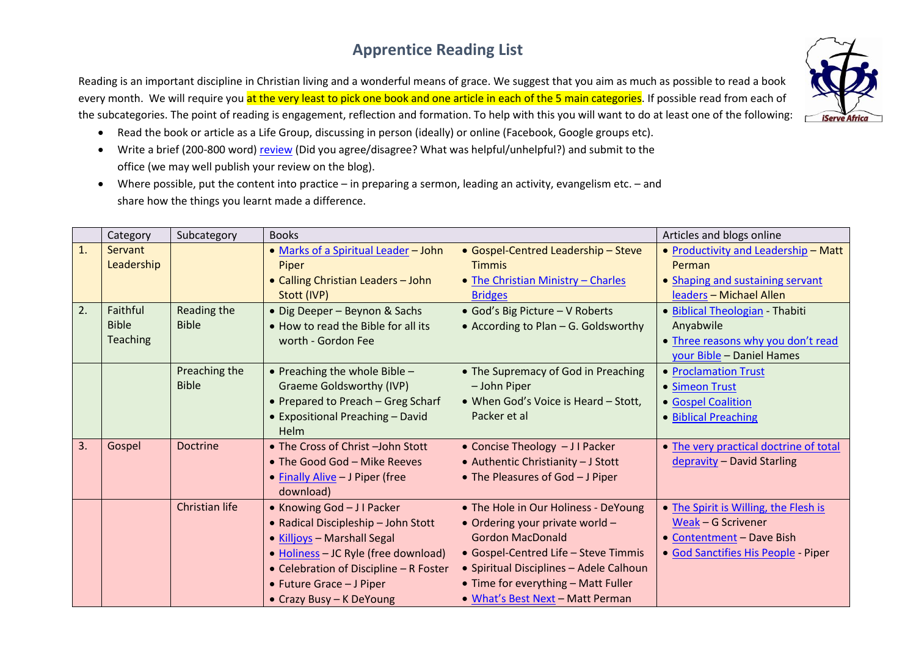## **Apprentice Reading List**

Reading is an important discipline in Christian living and a wonderful means of grace. We suggest that you aim as much as possible to read a book every month. We will require you at the very least to pick one book and one article in each of the 5 main categories. If possible read from each of the subcategories. The point of reading is engagement, reflection and formation. To help with this you will want to do at least one of the following:

- Read the book or article as a Life Group, discussing in person (ideally) or online (Facebook, Google groups etc).
- Write a brief (200-800 word[\) review](http://www.challies.com/articles/how-i-review-a-book) (Did you agree/disagree? What was helpful/unhelpful?) and submit to the office (we may well publish your review on the blog).
- Where possible, put the content into practice in preparing a sermon, leading an activity, evangelism etc. and share how the things you learnt made a difference.

|    | Category                                    | Subcategory                   | <b>Books</b>                                                                                                                                                                                                                               |                                                                                                                                                                                                                                                                  | Articles and blogs online                                                                                                       |
|----|---------------------------------------------|-------------------------------|--------------------------------------------------------------------------------------------------------------------------------------------------------------------------------------------------------------------------------------------|------------------------------------------------------------------------------------------------------------------------------------------------------------------------------------------------------------------------------------------------------------------|---------------------------------------------------------------------------------------------------------------------------------|
| 1. | Servant<br>Leadership                       |                               | • Marks of a Spiritual Leader - John<br>Piper<br>• Calling Christian Leaders - John<br>Stott (IVP)                                                                                                                                         | • Gospel-Centred Leadership - Steve<br><b>Timmis</b><br>• The Christian Ministry - Charles<br><b>Bridges</b>                                                                                                                                                     | • Productivity and Leadership - Matt<br>Perman<br>• Shaping and sustaining servant<br>leaders - Michael Allen                   |
| 2. | Faithful<br><b>Bible</b><br><b>Teaching</b> | Reading the<br><b>Bible</b>   | • Dig Deeper - Beynon & Sachs<br>. How to read the Bible for all its<br>worth - Gordon Fee                                                                                                                                                 | • God's Big Picture - V Roberts<br>• According to Plan - G. Goldsworthy                                                                                                                                                                                          | · Biblical Theologian - Thabiti<br>Anyabwile<br>. Three reasons why you don't read<br>your Bible - Daniel Hames                 |
|    |                                             | Preaching the<br><b>Bible</b> | • Preaching the whole Bible $-$<br><b>Graeme Goldsworthy (IVP)</b><br>• Prepared to Preach - Greg Scharf<br>• Expositional Preaching - David<br><b>Helm</b>                                                                                | • The Supremacy of God in Preaching<br>- John Piper<br>• When God's Voice is Heard - Stott,<br>Packer et al                                                                                                                                                      | • Proclamation Trust<br>• Simeon Trust<br>· Gospel Coalition<br>• Biblical Preaching                                            |
| 3. | Gospel                                      | <b>Doctrine</b>               | • The Cross of Christ -John Stott<br>• The Good God - Mike Reeves<br>• Finally Alive - J Piper (free<br>download)                                                                                                                          | • Concise Theology - J I Packer<br>• Authentic Christianity - J Stott<br>• The Pleasures of God - J Piper                                                                                                                                                        | • The very practical doctrine of total<br>depravity - David Starling                                                            |
|    |                                             | Christian life                | • Knowing God - J I Packer<br>• Radical Discipleship - John Stott<br>• Killjoys - Marshall Segal<br>• Holiness - JC Ryle (free download)<br>• Celebration of Discipline - R Foster<br>• Future Grace - J Piper<br>• Crazy Busy - K DeYoung | • The Hole in Our Holiness - DeYoung<br>• Ordering your private world -<br><b>Gordon MacDonald</b><br>• Gospel-Centred Life - Steve Timmis<br>• Spiritual Disciplines - Adele Calhoun<br>• Time for everything - Matt Fuller<br>. What's Best Next - Matt Perman | • The Spirit is Willing, the Flesh is<br>Weak - G Scrivener<br>• Contentment - Dave Bish<br>· God Sanctifies His People - Piper |